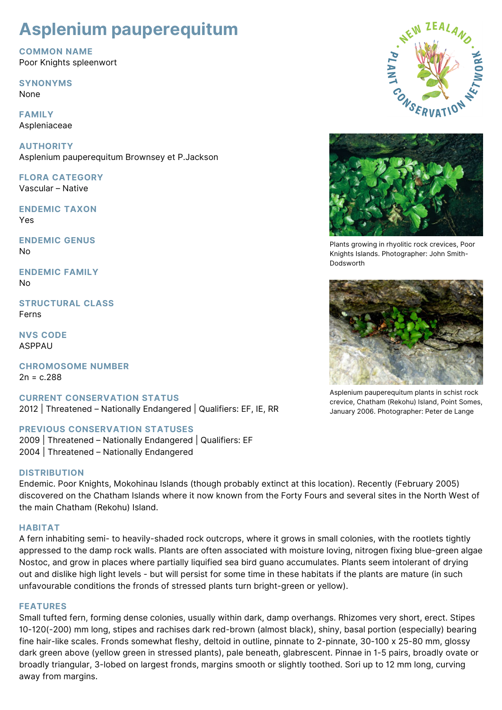# **Asplenium pauperequitum**

**COMMON NAME** Poor Knights spleenwort

## **SYNONYMS**

None

**FAMILY** Aspleniaceae

**AUTHORITY** Asplenium pauperequitum Brownsey et P.Jackson

**FLORA CATEGORY** Vascular – Native

**ENDEMIC TAXON** Yes

**ENDEMIC GENUS** No

**ENDEMIC FAMILY** No

**STRUCTURAL CLASS** Ferns

**NVS CODE** ASPPAU

**CHROMOSOME NUMBER**  $2n = c.288$ 

**CURRENT CONSERVATION STATUS** 2012 | Threatened – Nationally Endangered | Qualifiers: EF, IE, RR

## **PREVIOUS CONSERVATION STATUSES**

2009 | Threatened – Nationally Endangered | Qualifiers: EF 2004 | Threatened – Nationally Endangered

## **DISTRIBUTION**

Endemic. Poor Knights, Mokohinau Islands (though probably extinct at this location). Recently (February 2005) discovered on the Chatham Islands where it now known from the Forty Fours and several sites in the North West of the main Chatham (Rekohu) Island.

## **HABITAT**

A fern inhabiting semi- to heavily-shaded rock outcrops, where it grows in small colonies, with the rootlets tightly appressed to the damp rock walls. Plants are often associated with moisture loving, nitrogen fixing blue-green algae Nostoc, and grow in places where partially liquified sea bird guano accumulates. Plants seem intolerant of drying out and dislike high light levels - but will persist for some time in these habitats if the plants are mature (in such unfavourable conditions the fronds of stressed plants turn bright-green or yellow).

## **FEATURES**

Small tufted fern, forming dense colonies, usually within dark, damp overhangs. Rhizomes very short, erect. Stipes 10-120(-200) mm long, stipes and rachises dark red-brown (almost black), shiny, basal portion (especially) bearing fine hair-like scales. Fronds somewhat fleshy, deltoid in outline, pinnate to 2-pinnate, 30-100 x 25-80 mm, glossy dark green above (yellow green in stressed plants), pale beneath, glabrescent. Pinnae in 1-5 pairs, broadly ovate or broadly triangular, 3-lobed on largest fronds, margins smooth or slightly toothed. Sori up to 12 mm long, curving away from margins.





Plants growing in rhyolitic rock crevices, Poor Knights Islands. Photographer: John Smith-Dodsworth



Asplenium pauperequitum plants in schist rock crevice, Chatham (Rekohu) Island, Point Somes, January 2006. Photographer: Peter de Lange